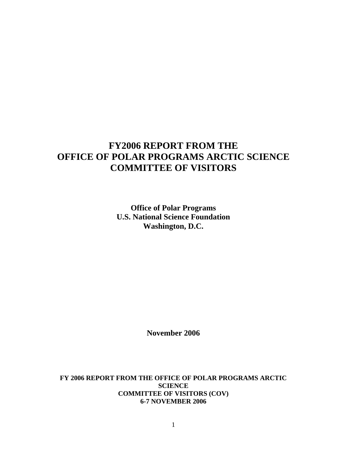# **FY2006 REPORT FROM THE OFFICE OF POLAR PROGRAMS ARCTIC SCIENCE COMMITTEE OF VISITORS**

**Office of Polar Programs U.S. National Science Foundation Washington, D.C.** 

**November 2006** 

**FY 2006 REPORT FROM THE OFFICE OF POLAR PROGRAMS ARCTIC SCIENCE COMMITTEE OF VISITORS (COV) 6-7 NOVEMBER 2006**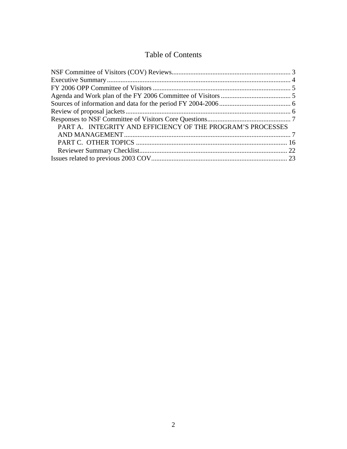# Table of Contents

| PART A. INTEGRITY AND EFFICIENCY OF THE PROGRAM'S PROCESSES |  |
|-------------------------------------------------------------|--|
|                                                             |  |
|                                                             |  |
|                                                             |  |
|                                                             |  |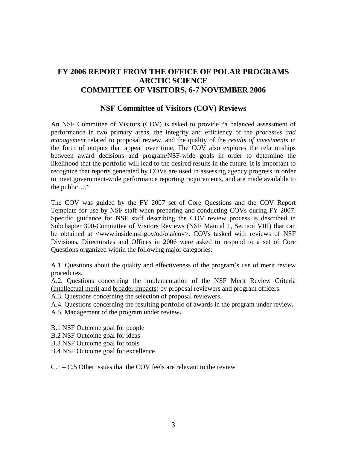# <span id="page-2-0"></span>**FY 2006 REPORT FROM THE OFFICE OF POLAR PROGRAMS ARCTIC SCIENCE COMMITTEE OF VISITORS, 6-7 NOVEMBER 2006**

## **NSF Committee of Visitors (COV) Reviews**

An NSF Committee of Visitors (COV) is asked to provide "a balanced assessment of performance in two primary areas, the integrity and efficiency of the *processes and management* related to proposal review, and the quality of the *results of investments* in the form of outputs that appear over time. The COV also explores the relationships between award decisions and program/NSF-wide goals in order to determine the likelihood that the portfolio will lead to the desired results in the future. It is important to recognize that reports generated by COVs are used in assessing agency progress in order to meet government-wide performance reporting requirements, and are made available to the public…."

The COV was guided by the FY 2007 set of Core Questions and the COV Report Template for use by NSF staff when preparing and conducting COVs during FY 2007. Specific guidance for NSF staff describing the COV review process is described in Subchapter 300-Committee of Visitors Reviews (NSF Manual 1, Section VIII) that can be obtained at <www.inside.nsf.gov/od/oia/cov>. COVs tasked with reviews of NSF Divisions, Directorates and Offices in 2006 were asked to respond to a set of Core Questions organized within the following major categories:

A.1. Questions about the quality and effectiveness of the program's use of merit review procedures.

A.2. Questions concerning the implementation of the NSF Merit Review Criteria (intellectual merit and broader impacts) by proposal reviewers and program officers.

A.3. Questions concerning the selection of proposal reviewers.

A.4. Questions concerning the resulting portfolio of awards in the program under review**.** 

A.5. Management of the program under review**.** 

- B.1 NSF Outcome goal for people
- B.2 NSF Outcome goal for ideas
- B.3 NSF Outcome goal for tools
- B.4 NSF Outcome goal for excellence

C.1 – C.5 Other issues that the COV feels are relevant to the review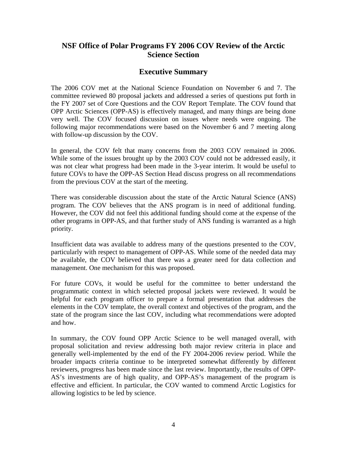# <span id="page-3-0"></span>**NSF Office of Polar Programs FY 2006 COV Review of the Arctic Science Section**

## **Executive Summary**

The 2006 COV met at the National Science Foundation on November 6 and 7. The committee reviewed 80 proposal jackets and addressed a series of questions put forth in the FY 2007 set of Core Questions and the COV Report Template. The COV found that OPP Arctic Sciences (OPP-AS) is effectively managed, and many things are being done very well. The COV focused discussion on issues where needs were ongoing. The following major recommendations were based on the November 6 and 7 meeting along with follow-up discussion by the COV.

In general, the COV felt that many concerns from the 2003 COV remained in 2006. While some of the issues brought up by the 2003 COV could not be addressed easily, it was not clear what progress had been made in the 3-year interim. It would be useful to future COVs to have the OPP-AS Section Head discuss progress on all recommendations from the previous COV at the start of the meeting.

There was considerable discussion about the state of the Arctic Natural Science (ANS) program. The COV believes that the ANS program is in need of additional funding. However, the COV did not feel this additional funding should come at the expense of the other programs in OPP-AS, and that further study of ANS funding is warranted as a high priority.

Insufficient data was available to address many of the questions presented to the COV, particularly with respect to management of OPP-AS. While some of the needed data may be available, the COV believed that there was a greater need for data collection and management. One mechanism for this was proposed.

For future COVs, it would be useful for the committee to better understand the programmatic context in which selected proposal jackets were reviewed. It would be helpful for each program officer to prepare a formal presentation that addresses the elements in the COV template, the overall context and objectives of the program, and the state of the program since the last COV, including what recommendations were adopted and how.

In summary, the COV found OPP Arctic Science to be well managed overall, with proposal solicitation and review addressing both major review criteria in place and generally well-implemented by the end of the FY 2004-2006 review period. While the broader impacts criteria continue to be interpreted somewhat differently by different reviewers, progress has been made since the last review. Importantly, the results of OPP-AS's investments are of high quality, and OPP-AS's management of the program is effective and efficient. In particular, the COV wanted to commend Arctic Logistics for allowing logistics to be led by science.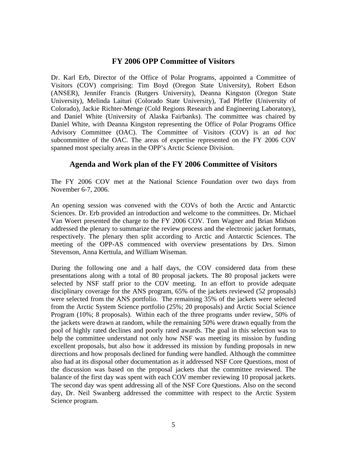## **FY 2006 OPP Committee of Visitors**

<span id="page-4-0"></span>Dr. Karl Erb, Director of the Office of Polar Programs, appointed a Committee of Visitors (COV) comprising: Tim Boyd (Oregon State University), Robert Edson (ANSER), Jennifer Francis (Rutgers University), Deanna Kingston (Oregon State University), Melinda Laituri (Colorado State University), Tad Pfeffer (University of Colorado), Jackie Richter-Menge (Cold Regions Research and Engineering Laboratory), and Daniel White (University of Alaska Fairbanks). The committee was chaired by Daniel White, with Deanna Kingston representing the Office of Polar Programs Office Advisory Committee (OAC). The Committee of Visitors (COV) is an *ad hoc* subcommittee of the OAC. The areas of expertise represented on the FY 2006 COV spanned most specialty areas in the OPP's Arctic Science Division.

## **Agenda and Work plan of the FY 2006 Committee of Visitors**

The FY 2006 COV met at the National Science Foundation over two days from November 6-7, 2006.

An opening session was convened with the COVs of both the Arctic and Antarctic Sciences. Dr. Erb provided an introduction and welcome to the committees. Dr. Michael Van Woert presented the charge to the FY 2006 COV. Tom Wagner and Brian Midson addressed the plenary to summarize the review process and the electronic jacket formats, respectively. The plenary then split according to Arctic and Antarctic Sciences. The meeting of the OPP-AS commenced with overview presentations by Drs. Simon Stevenson, Anna Kerttula, and William Wiseman.

During the following one and a half days, the COV considered data from these presentations along with a total of 80 proposal jackets. The 80 proposal jackets were selected by NSF staff prior to the COV meeting. In an effort to provide adequate disciplinary coverage for the ANS program, 65% of the jackets reviewed (52 proposals) were selected from the ANS portfolio. The remaining 35% of the jackets were selected from the Arctic System Science portfolio (25%; 20 proposals) and Arctic Social Science Program (10%; 8 proposals). Within each of the three programs under review, 50% of the jackets were drawn at random, while the remaining 50% were drawn equally from the pool of highly rated declines and poorly rated awards. The goal in this selection was to help the committee understand not only how NSF was meeting its mission by funding excellent proposals, but also how it addressed its mission by funding proposals in new directions and how proposals declined for funding were handled. Although the committee also had at its disposal other documentation as it addressed NSF Core Questions, most of the discussion was based on the proposal jackets that the committee reviewed. The balance of the first day was spent with each COV member reviewing 10 proposal jackets. The second day was spent addressing all of the NSF Core Questions. Also on the second day, Dr. Neil Swanberg addressed the committee with respect to the Arctic System Science program.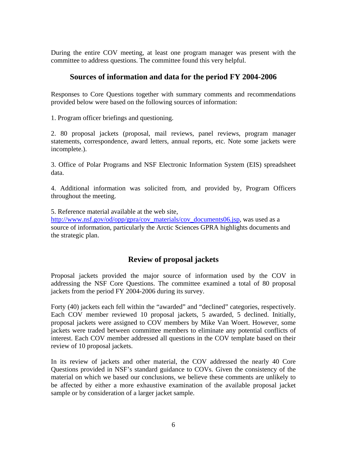<span id="page-5-0"></span>During the entire COV meeting, at least one program manager was present with the committee to address questions. The committee found this very helpful.

## **Sources of information and data for the period FY 2004-2006**

Responses to Core Questions together with summary comments and recommendations provided below were based on the following sources of information:

1. Program officer briefings and questioning.

2. 80 proposal jackets (proposal, mail reviews, panel reviews, program manager statements, correspondence, award letters, annual reports, etc. Note some jackets were incomplete.).

3. Office of Polar Programs and NSF Electronic Information System (EIS) spreadsheet data.

4. Additional information was solicited from, and provided by, Program Officers throughout the meeting.

5. Reference material available at the web site,

[http://www.nsf.gov/od/opp/gpra/cov\\_materials/cov\\_documents06.jsp,](http://www.nsf.gov/od/opp/gpra/cov_materials/cov_documents06.jsp) was used as a source of information, particularly the Arctic Sciences GPRA highlights documents and the strategic plan.

# **Review of proposal jackets**

Proposal jackets provided the major source of information used by the COV in addressing the NSF Core Questions. The committee examined a total of 80 proposal jackets from the period FY 2004-2006 during its survey.

Forty (40) jackets each fell within the "awarded" and "declined" categories, respectively. Each COV member reviewed 10 proposal jackets, 5 awarded, 5 declined. Initially, proposal jackets were assigned to COV members by Mike Van Woert. However, some jackets were traded between committee members to eliminate any potential conflicts of interest. Each COV member addressed all questions in the COV template based on their review of 10 proposal jackets.

In its review of jackets and other material, the COV addressed the nearly 40 Core Questions provided in NSF's standard guidance to COVs. Given the consistency of the material on which we based our conclusions, we believe these comments are unlikely to be affected by either a more exhaustive examination of the available proposal jacket sample or by consideration of a larger jacket sample.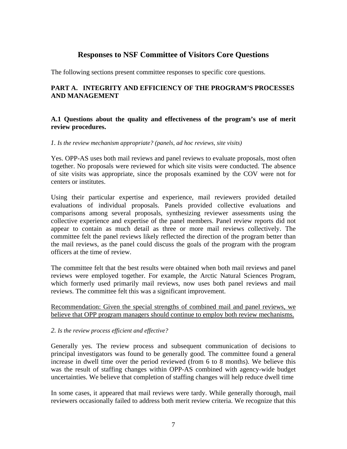# **Responses to NSF Committee of Visitors Core Questions**

<span id="page-6-0"></span>The following sections present committee responses to specific core questions.

### **PART A. INTEGRITY AND EFFICIENCY OF THE PROGRAM'S PROCESSES AND MANAGEMENT**

#### **A.1 Questions about the quality and effectiveness of the program's use of merit review procedures.**

*1. Is the review mechanism appropriate? (panels, ad hoc reviews, site visits)*

Yes. OPP-AS uses both mail reviews and panel reviews to evaluate proposals, most often together. No proposals were reviewed for which site visits were conducted. The absence of site visits was appropriate, since the proposals examined by the COV were not for centers or institutes.

Using their particular expertise and experience, mail reviewers provided detailed evaluations of individual proposals. Panels provided collective evaluations and comparisons among several proposals, synthesizing reviewer assessments using the collective experience and expertise of the panel members. Panel review reports did not appear to contain as much detail as three or more mail reviews collectively. The committee felt the panel reviews likely reflected the direction of the program better than the mail reviews, as the panel could discuss the goals of the program with the program officers at the time of review.

The committee felt that the best results were obtained when both mail reviews and panel reviews were employed together. For example, the Arctic Natural Sciences Program, which formerly used primarily mail reviews, now uses both panel reviews and mail reviews. The committee felt this was a significant improvement.

Recommendation: Given the special strengths of combined mail and panel reviews, we believe that OPP program managers should continue to employ both review mechanisms.

#### *2. Is the review process efficient and effective?*

Generally yes. The review process and subsequent communication of decisions to principal investigators was found to be generally good. The committee found a general increase in dwell time over the period reviewed (from 6 to 8 months). We believe this was the result of staffing changes within OPP-AS combined with agency-wide budget uncertainties. We believe that completion of staffing changes will help reduce dwell time

In some cases, it appeared that mail reviews were tardy. While generally thorough, mail reviewers occasionally failed to address both merit review criteria. We recognize that this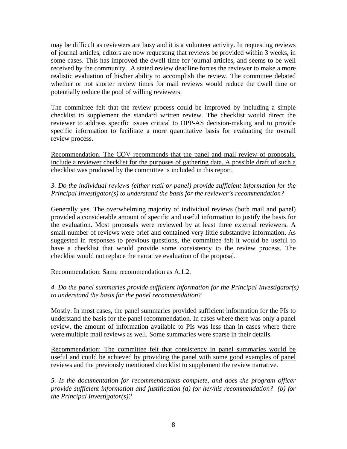may be difficult as reviewers are busy and it is a volunteer activity. In requesting reviews of journal articles, editors are now requesting that reviews be provided within 3 weeks, in some cases. This has improved the dwell time for journal articles, and seems to be well received by the community. A stated review deadline forces the reviewer to make a more realistic evaluation of his/her ability to accomplish the review. The committee debated whether or not shorter review times for mail reviews would reduce the dwell time or potentially reduce the pool of willing reviewers.

The committee felt that the review process could be improved by including a simple checklist to supplement the standard written review. The checklist would direct the reviewer to address specific issues critical to OPP-AS decision-making and to provide specific information to facilitate a more quantitative basis for evaluating the overall review process.

Recommendation. The COV recommends that the panel and mail review of proposals, include a reviewer checklist for the purposes of gathering data. A possible draft of such a checklist was produced by the committee is included in this report.

## *3. Do the individual reviews (either mail or panel) provide sufficient information for the Principal Investigator(s) to understand the basis for the reviewer's recommendation?*

Generally yes. The overwhelming majority of individual reviews (both mail and panel) provided a considerable amount of specific and useful information to justify the basis for the evaluation. Most proposals were reviewed by at least three external reviewers. A small number of reviews were brief and contained very little substantive information. As suggested in responses to previous questions, the committee felt it would be useful to have a checklist that would provide some consistency to the review process. The checklist would not replace the narrative evaluation of the proposal.

## Recommendation: Same recommendation as A.1.2.

## *4. Do the panel summaries provide sufficient information for the Principal Investigator(s) to understand the basis for the panel recommendation?*

Mostly. In most cases, the panel summaries provided sufficient information for the PIs to understand the basis for the panel recommendation. In cases where there was only a panel review, the amount of information available to PIs was less than in cases where there were multiple mail reviews as well. Some summaries were sparse in their details.

Recommendation: The committee felt that consistency in panel summaries would be useful and could be achieved by providing the panel with some good examples of panel reviews and the previously mentioned checklist to supplement the review narrative.

*5. Is the documentation for recommendations complete, and does the program officer provide sufficient information and justification (a) for her/his recommendation? (b) for the Principal Investigator(s)?*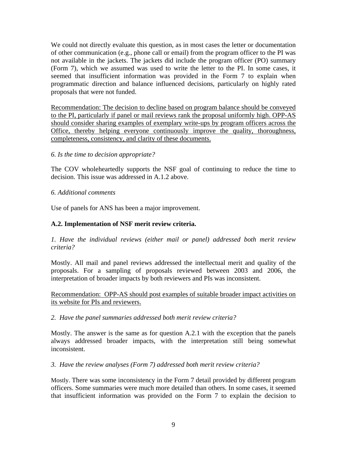We could not directly evaluate this question, as in most cases the letter or documentation of other communication (e.g., phone call or email) from the program officer to the PI was not available in the jackets. The jackets did include the program officer (PO) summary (Form 7), which we assumed was used to write the letter to the PI. In some cases, it seemed that insufficient information was provided in the Form 7 to explain when programmatic direction and balance influenced decisions, particularly on highly rated proposals that were not funded.

Recommendation: The decision to decline based on program balance should be conveyed to the PI, particularly if panel or mail reviews rank the proposal uniformly high. OPP-AS should consider sharing examples of exemplary write-ups by program officers across the Office, thereby helping everyone continuously improve the quality, thoroughness, completeness, consistency, and clarity of these documents.

## *6. Is the time to decision appropriate?*

The COV wholeheartedly supports the NSF goal of continuing to reduce the time to decision. This issue was addressed in A.1.2 above.

#### *6. Additional comments*

Use of panels for ANS has been a major improvement.

## **A.2. Implementation of NSF merit review criteria.**

*1. Have the individual reviews (either mail or panel) addressed both merit review criteria?* 

Mostly. All mail and panel reviews addressed the intellectual merit and quality of the proposals. For a sampling of proposals reviewed between 2003 and 2006, the interpretation of broader impacts by both reviewers and PIs was inconsistent.

Recommendation: OPP-AS should post examples of suitable broader impact activities on its website for PIs and reviewers.

#### *2. Have the panel summaries addressed both merit review criteria?*

Mostly. The answer is the same as for question A.2.1 with the exception that the panels always addressed broader impacts, with the interpretation still being somewhat inconsistent.

*3. Have the review analyses (Form 7) addressed both merit review criteria?* 

Mostly. There was some inconsistency in the Form 7 detail provided by different program officers. Some summaries were much more detailed than others. In some cases, it seemed that insufficient information was provided on the Form 7 to explain the decision to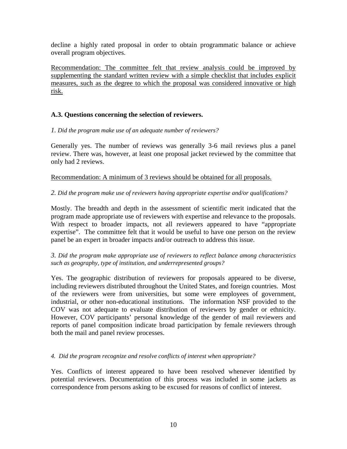decline a highly rated proposal in order to obtain programmatic balance or achieve overall program objectives.

Recommendation: The committee felt that review analysis could be improved by supplementing the standard written review with a simple checklist that includes explicit measures, such as the degree to which the proposal was considered innovative or high risk.

## **A.3. Questions concerning the selection of reviewers.**

*1. Did the program make use of an adequate number of reviewers?*

Generally yes. The number of reviews was generally 3-6 mail reviews plus a panel review. There was, however, at least one proposal jacket reviewed by the committee that only had 2 reviews.

Recommendation: A minimum of 3 reviews should be obtained for all proposals.

*2. Did the program make use of reviewers having appropriate expertise and/or qualifications?*

Mostly. The breadth and depth in the assessment of scientific merit indicated that the program made appropriate use of reviewers with expertise and relevance to the proposals. With respect to broader impacts, not all reviewers appeared to have "appropriate expertise". The committee felt that it would be useful to have one person on the review panel be an expert in broader impacts and/or outreach to address this issue.

*3. Did the program make appropriate use of reviewers to reflect balance among characteristics such as geography, type of institution, and underrepresented groups?*

Yes. The geographic distribution of reviewers for proposals appeared to be diverse, including reviewers distributed throughout the United States, and foreign countries. Most of the reviewers were from universities, but some were employees of government, industrial, or other non-educational institutions. The information NSF provided to the COV was not adequate to evaluate distribution of reviewers by gender or ethnicity. However, COV participants' personal knowledge of the gender of mail reviewers and reports of panel composition indicate broad participation by female reviewers through both the mail and panel review processes.

*4. Did the program recognize and resolve conflicts of interest when appropriate?* 

Yes. Conflicts of interest appeared to have been resolved whenever identified by potential reviewers. Documentation of this process was included in some jackets as correspondence from persons asking to be excused for reasons of conflict of interest.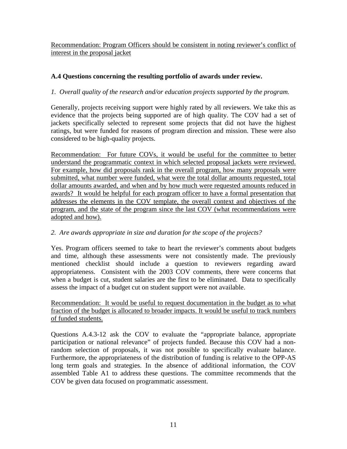Recommendation: Program Officers should be consistent in noting reviewer's conflict of interest in the proposal jacket

## **A.4 Questions concerning the resulting portfolio of awards under review.**

## *1. Overall quality of the research and/or education projects supported by the program.*

Generally, projects receiving support were highly rated by all reviewers. We take this as evidence that the projects being supported are of high quality. The COV had a set of jackets specifically selected to represent some projects that did not have the highest ratings, but were funded for reasons of program direction and mission. These were also considered to be high-quality projects.

Recommendation: For future COVs, it would be useful for the committee to better understand the programmatic context in which selected proposal jackets were reviewed. For example, how did proposals rank in the overall program, how many proposals were submitted, what number were funded, what were the total dollar amounts requested, total dollar amounts awarded, and when and by how much were requested amounts reduced in awards? It would be helpful for each program officer to have a formal presentation that addresses the elements in the COV template, the overall context and objectives of the program, and the state of the program since the last COV (what recommendations were adopted and how).

## *2. Are awards appropriate in size and duration for the scope of the projects?*

Yes. Program officers seemed to take to heart the reviewer's comments about budgets and time, although these assessments were not consistently made. The previously mentioned checklist should include a question to reviewers regarding award appropriateness. Consistent with the 2003 COV comments, there were concerns that when a budget is cut, student salaries are the first to be eliminated. Data to specifically assess the impact of a budget cut on student support were not available.

Recommendation: It would be useful to request documentation in the budget as to what fraction of the budget is allocated to broader impacts. It would be useful to track numbers of funded students.

Questions A.4.3-12 ask the COV to evaluate the "appropriate balance, appropriate participation or national relevance" of projects funded. Because this COV had a nonrandom selection of proposals, it was not possible to specifically evaluate balance. Furthermore, the appropriateness of the distribution of funding is relative to the OPP-AS long term goals and strategies. In the absence of additional information, the COV assembled Table A1 to address these questions. The committee recommends that the COV be given data focused on programmatic assessment.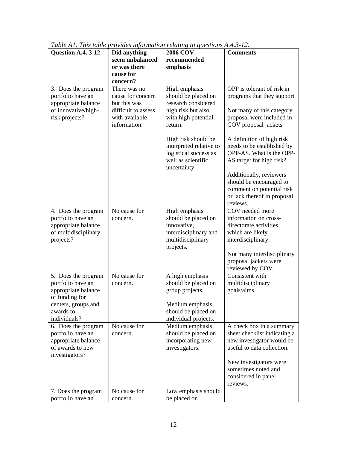| Question A.4. 3-12                                              | Did anything                                          | <b>2006 COV</b>                                                                                               | <b>Comments</b>                                                                                                            |  |  |
|-----------------------------------------------------------------|-------------------------------------------------------|---------------------------------------------------------------------------------------------------------------|----------------------------------------------------------------------------------------------------------------------------|--|--|
|                                                                 | seem unbalanced<br>or was there                       | recommended<br>emphasis                                                                                       |                                                                                                                            |  |  |
|                                                                 | cause for<br>concern?                                 |                                                                                                               |                                                                                                                            |  |  |
| 3. Does the program<br>portfolio have an<br>appropriate balance | There was no<br>cause for concern<br>but this was     | High emphasis<br>should be placed on<br>research considered                                                   | OPP is tolerant of risk in<br>programs that they support                                                                   |  |  |
| of innovative/high-<br>risk projects?                           | difficult to assess<br>with available<br>information. | high risk but also<br>with high potential<br>return.                                                          | Not many of this category<br>proposal were included in<br>COV proposal jackets                                             |  |  |
|                                                                 |                                                       | High risk should be<br>interpreted relative to<br>logistical success as<br>well as scientific<br>uncertainty. | A definition of high risk<br>needs to be established by<br>OPP-AS. What is the OPP-<br>AS target for high risk?            |  |  |
|                                                                 |                                                       |                                                                                                               | Additionally, reviewers<br>should be encouraged to<br>comment on potential risk<br>or lack thereof in proposal<br>reviews. |  |  |
| 4. Does the program                                             | No cause for                                          | High emphasis                                                                                                 | COV needed more                                                                                                            |  |  |
| portfolio have an<br>appropriate balance                        | concern.                                              | should be placed on<br>innovative,                                                                            | information on cross-<br>directorate activities,                                                                           |  |  |
| of multidisciplinary                                            |                                                       | interdisciplinary and                                                                                         | which are likely                                                                                                           |  |  |
| projects?                                                       |                                                       | multidisciplinary<br>projects.                                                                                | interdisciplinary.                                                                                                         |  |  |
|                                                                 |                                                       |                                                                                                               | Not many interdisciplinary<br>proposal jackets were                                                                        |  |  |
|                                                                 |                                                       |                                                                                                               | reviewed by COV.<br>Consistent with                                                                                        |  |  |
| 5. Does the program<br>portfolio have an                        | No cause for<br>concern.                              | A high emphasis<br>should be placed on                                                                        | multidisciplinary                                                                                                          |  |  |
| appropriate balance<br>of funding for                           |                                                       | group projects.                                                                                               | goals/aims.                                                                                                                |  |  |
| centers, groups and                                             |                                                       | Medium emphasis                                                                                               |                                                                                                                            |  |  |
| awards to                                                       |                                                       | should be placed on                                                                                           |                                                                                                                            |  |  |
| individuals?                                                    |                                                       | individual projects.                                                                                          |                                                                                                                            |  |  |
| 6. Does the program<br>portfolio have an                        | No cause for<br>concern.                              | Medium emphasis<br>should be placed on                                                                        | A check box in a summary<br>sheet checklist indicating a                                                                   |  |  |
| appropriate balance                                             |                                                       | incorporating new                                                                                             | new investigator would be                                                                                                  |  |  |
| of awards to new                                                |                                                       | investigators.                                                                                                | useful to data collection.                                                                                                 |  |  |
| investigators?                                                  |                                                       |                                                                                                               |                                                                                                                            |  |  |
|                                                                 |                                                       |                                                                                                               | New investigators were<br>sometimes noted and                                                                              |  |  |
|                                                                 |                                                       |                                                                                                               | considered in panel                                                                                                        |  |  |
|                                                                 | No cause for                                          |                                                                                                               | reviews.                                                                                                                   |  |  |
| 7. Does the program<br>portfolio have an                        | concern.                                              | Low emphasis should<br>be placed on                                                                           |                                                                                                                            |  |  |

|  |  | Table A1. This table provides information relating to questions A.4.3-12. |
|--|--|---------------------------------------------------------------------------|
|  |  |                                                                           |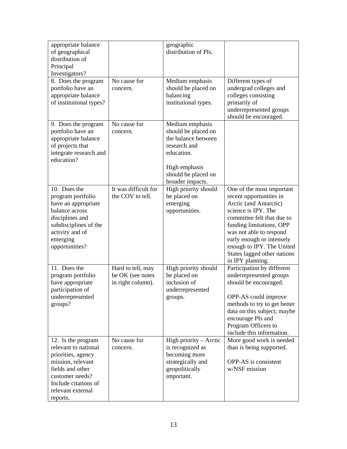| appropriate balance<br>of geographical<br>distribution of<br>Principal<br>Investigators?                                                                                              |                                                            | geographic<br>distribution of PIs.                                                                                                                      |                                                                                                                                                                                                                                                                                                         |
|---------------------------------------------------------------------------------------------------------------------------------------------------------------------------------------|------------------------------------------------------------|---------------------------------------------------------------------------------------------------------------------------------------------------------|---------------------------------------------------------------------------------------------------------------------------------------------------------------------------------------------------------------------------------------------------------------------------------------------------------|
| 8. Does the program<br>portfolio have an<br>appropriate balance<br>of institutional types?                                                                                            | No cause for<br>concern.                                   | Medium emphasis<br>should be placed on<br>balancing<br>institutional types.                                                                             | Different types of<br>undergrad colleges and<br>colleges consisting<br>primarily of<br>underrepresented groups<br>should be encouraged.                                                                                                                                                                 |
| 9. Does the program<br>portfolio have an<br>appropriate balance<br>of projects that<br>integrate research and<br>education?                                                           | No cause for<br>concern.                                   | Medium emphasis<br>should be placed on<br>the balance between<br>research and<br>education.<br>High emphasis<br>should be placed on<br>broader impacts. |                                                                                                                                                                                                                                                                                                         |
| 10. Does the<br>program portfolio<br>have an appropriate<br>balance across<br>disciplines and<br>subdisciplines of the<br>activity and of<br>emerging<br>opportunities?               | It was difficult for<br>the COV to tell.                   | High priority should<br>be placed on<br>emerging<br>opportunities.                                                                                      | One of the most important<br>recent opportunities in<br>Arctic (and Antarctic)<br>science is IPY. The<br>committee felt that due to<br>funding limitations, OPP<br>was not able to respond<br>early enough or intensely<br>enough to IPY. The United<br>States lagged other nations<br>in IPY planning. |
| 11. Does the<br>program portfolio<br>have appropriate<br>participation of<br>underrepresented<br>groups?                                                                              | Hard to tell, may<br>be OK (see notes<br>in right column). | High priority should<br>be placed on<br>inclusion of<br>underrepresented<br>groups.                                                                     | Participation by different<br>underrepresented groups<br>should be encouraged.<br>OPP-AS could improve<br>methods to try to get better<br>data on this subject; maybe<br>encourage PIs and<br>Program Officers to<br>include this information.                                                          |
| 12. Is the program<br>relevant to national<br>priorities, agency<br>mission, relevant<br>fields and other<br>customer needs?<br>Include citations of<br>relevant external<br>reports. | No cause for<br>concern.                                   | High priority – Arctic<br>is recognized as<br>becoming more<br>strategically and<br>geopolitically<br>important.                                        | More good work is needed<br>than is being supported.<br>OPP-AS is consistent<br>w/NSF mission                                                                                                                                                                                                           |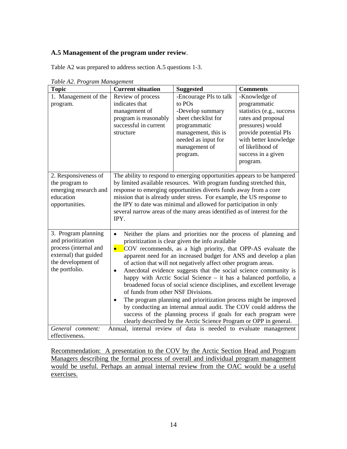## **A.5 Management of the program under review**.

Table A2 was prepared to address section A.5 questions 1-3.

| $\cdots$<br><b>Topic</b>                                                                                                            | <b>Current situation</b>                                                                                                                                                                                                                                                                                                                                                                                                                                                                                                                                                                                                                                                                                                                                                                                                                                                                                                 | <b>Suggested</b>                                                                                                                                                       | <b>Comments</b>                                                                                                                                                                                              |  |
|-------------------------------------------------------------------------------------------------------------------------------------|--------------------------------------------------------------------------------------------------------------------------------------------------------------------------------------------------------------------------------------------------------------------------------------------------------------------------------------------------------------------------------------------------------------------------------------------------------------------------------------------------------------------------------------------------------------------------------------------------------------------------------------------------------------------------------------------------------------------------------------------------------------------------------------------------------------------------------------------------------------------------------------------------------------------------|------------------------------------------------------------------------------------------------------------------------------------------------------------------------|--------------------------------------------------------------------------------------------------------------------------------------------------------------------------------------------------------------|--|
| 1. Management of the<br>program.                                                                                                    | Review of process<br>indicates that<br>management of<br>program is reasonably<br>successful in current<br>structure                                                                                                                                                                                                                                                                                                                                                                                                                                                                                                                                                                                                                                                                                                                                                                                                      | -Encourage PIs to talk<br>to POs<br>-Develop summary<br>sheet checklist for<br>programmatic<br>management, this is<br>needed as input for<br>management of<br>program. | -Knowledge of<br>programmatic<br>statistics (e.g., success<br>rates and proposal<br>pressures) would<br>provide potential PIs<br>with better knowledge<br>of likelihood of<br>success in a given<br>program. |  |
| 2. Responsiveness of<br>the program to<br>emerging research and<br>education<br>opportunities.                                      | The ability to respond to emerging opportunities appears to be hampered<br>by limited available resources. With program funding stretched thin,<br>response to emerging opportunities diverts funds away from a core<br>mission that is already under stress. For example, the US response to<br>the IPY to date was minimal and allowed for participation in only<br>several narrow areas of the many areas identified as of interest for the<br>IPY.                                                                                                                                                                                                                                                                                                                                                                                                                                                                   |                                                                                                                                                                        |                                                                                                                                                                                                              |  |
| 3. Program planning<br>and prioritization<br>process (internal and<br>external) that guided<br>the development of<br>the portfolio. | Neither the plans and priorities nor the process of planning and<br>$\bullet$<br>prioritization is clear given the info available<br>COV recommends, as a high priority, that OPP-AS evaluate the<br>$\bullet$<br>apparent need for an increased budget for ANS and develop a plan<br>of action that will not negatively affect other program areas.<br>Anecdotal evidence suggests that the social science community is<br>$\bullet$<br>happy with Arctic Social Science - it has a balanced portfolio, a<br>broadened focus of social science disciplines, and excellent leverage<br>of funds from other NSF Divisions.<br>The program planning and prioritization process might be improved<br>$\bullet$<br>by conducting an internal annual audit. The COV could address the<br>success of the planning process if goals for each program were<br>clearly described by the Arctic Science Program or OPP in general. |                                                                                                                                                                        |                                                                                                                                                                                                              |  |
| General comment:<br>effectiveness.                                                                                                  | Annual, internal review of data is needed to evaluate management                                                                                                                                                                                                                                                                                                                                                                                                                                                                                                                                                                                                                                                                                                                                                                                                                                                         |                                                                                                                                                                        |                                                                                                                                                                                                              |  |

*Table A2. Program Management*

Recommendation: A presentation to the COV by the Arctic Section Head and Program Managers describing the formal process of overall and individual program management would be useful. Perhaps an annual internal review from the OAC would be a useful exercises.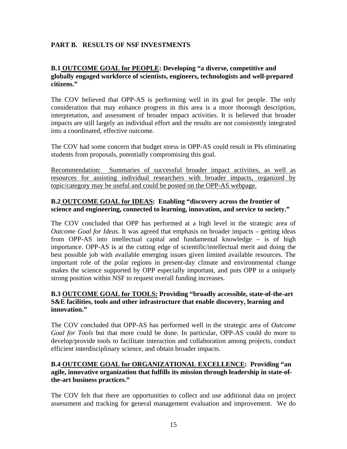## **PART B. RESULTS OF NSF INVESTMENTS**

### **B.1 OUTCOME GOAL for PEOPLE: Developing "a diverse, competitive and globally engaged workforce of scientists, engineers, technologists and well-prepared citizens."**

The COV believed that OPP-AS is performing well in its goal for people. The only consideration that may enhance progress in this area is a more thorough description, interpretation, and assessment of broader impact activities. It is believed that broader impacts are still largely an individual effort and the results are not consistently integrated into a coordinated, effective outcome.

The COV had some concern that budget stress in OPP-AS could result in PIs eliminating students from proposals, potentially compromising this goal.

Recommendation: Summaries of successful broader impact activities, as well as resources for assisting individual researchers with broader impacts, organized by topic/category may be useful and could be posted on the OPP-AS webpage.

### **B.2 OUTCOME GOAL for IDEAS: Enabling "discovery across the frontier of science and engineering, connected to learning, innovation, and service to society."**

The COV concluded that OPP has performed at a high level in the strategic area of *Outcome Goal for Ideas*. It was agreed that emphasis on broader impacts – getting ideas from OPP-AS into intellectual capital and fundamental knowledge – is of high importance. OPP-AS is at the cutting edge of scientific/intellectual merit and doing the best possible job with available emerging issues given limited available resources. The important role of the polar regions in present-day climate and environmental change makes the science supported by OPP especially important, and puts OPP in a uniquely strong position within NSF to request overall funding increases.

### **B.3 OUTCOME GOAL for TOOLS: Providing "broadly accessible, state-of-the-art S&E facilities, tools and other infrastructure that enable discovery, learning and innovation."**

The COV concluded that OPP-AS has performed well in the strategic area of *Outcome Goal for Tools* but that more could be done. In particular, OPP-AS could do more to develop/provide tools to facilitate interaction and collaboration among projects, conduct efficient interdisciplinary science, and obtain broader impacts.

## **B.4 OUTCOME GOAL for ORGANIZATIONAL EXCELLENCE: Providing "an agile, innovative organization that fulfills its mission through leadership in state-ofthe-art business practices."**

The COV felt that there are opportunities to collect and use additional data on project assessment and tracking for general management evaluation and improvement. We do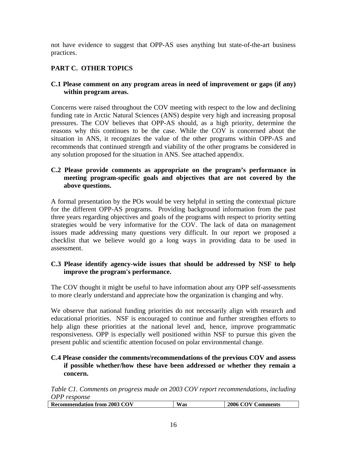<span id="page-15-0"></span>not have evidence to suggest that OPP-AS uses anything but state-of-the-art business practices.

## **PART C. OTHER TOPICS**

#### **C.1 Please comment on any program areas in need of improvement or gaps (if any) within program areas.**

Concerns were raised throughout the COV meeting with respect to the low and declining funding rate in Arctic Natural Sciences (ANS) despite very high and increasing proposal pressures. The COV believes that OPP-AS should, as a high priority, determine the reasons why this continues to be the case. While the COV is concerned about the situation in ANS, it recognizes the value of the other programs within OPP-AS and recommends that continued strength and viability of the other programs be considered in any solution proposed for the situation in ANS. See attached appendix.

### **C.2 Please provide comments as appropriate on the program's performance in meeting program-specific goals and objectives that are not covered by the above questions.**

A formal presentation by the POs would be very helpful in setting the contextual picture for the different OPP-AS programs. Providing background information from the past three years regarding objectives and goals of the programs with respect to priority setting strategies would be very informative for the COV. The lack of data on management issues made addressing many questions very difficult. In our report we proposed a checklist that we believe would go a long ways in providing data to be used in assessment.

### **C.3 Please identify agency-wide issues that should be addressed by NSF to help improve the program's performance.**

The COV thought it might be useful to have information about any OPP self-assessments to more clearly understand and appreciate how the organization is changing and why.

We observe that national funding priorities do not necessarily align with research and educational priorities. NSF is encouraged to continue and further strengthen efforts to help align these priorities at the national level and, hence, improve programmatic responsiveness. OPP is especially well positioned within NSF to pursue this given the present public and scientific attention focused on polar environmental change.

#### **C.4 Please consider the comments/recommendations of the previous COV and assess if possible whether/how these have been addressed or whether they remain a concern.**

*Table C1. Comments on progress made on 2003 COV report recommendations, including OPP response* 

| <b>12003 COV</b><br>$-1$<br>Re<br>commendation from<br><b>Was</b><br>omments |
|------------------------------------------------------------------------------|
|------------------------------------------------------------------------------|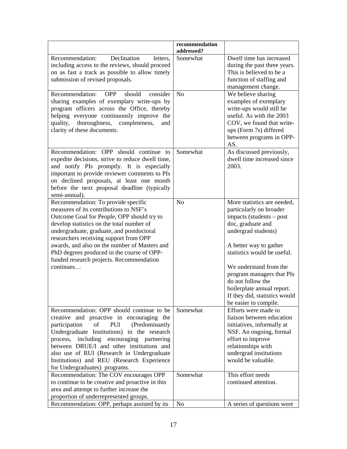|                                                                                                                                                                                                                                                                                                                                                                                                                         | recommendation<br>addressed? |                                                                                                                                                                                                                                                                                                                                                             |
|-------------------------------------------------------------------------------------------------------------------------------------------------------------------------------------------------------------------------------------------------------------------------------------------------------------------------------------------------------------------------------------------------------------------------|------------------------------|-------------------------------------------------------------------------------------------------------------------------------------------------------------------------------------------------------------------------------------------------------------------------------------------------------------------------------------------------------------|
| Recommendation:<br>Declination<br>letters,<br>including access to the reviews, should proceed<br>on as fast a track as possible to allow timely<br>submission of revised proposals.                                                                                                                                                                                                                                     | Somewhat                     | Dwell time has increased<br>during the past three years.<br>This is believed to be a<br>function of staffing and<br>management change.                                                                                                                                                                                                                      |
| Recommendation:<br><b>OPP</b><br>should<br>consider<br>sharing examples of exemplary write-ups by<br>program officers across the Office, thereby<br>helping everyone continuously improve the<br>thoroughness,<br>completeness,<br>quality,<br>and<br>clarity of these documents.                                                                                                                                       | N <sub>o</sub>               | We believe sharing<br>examples of exemplary<br>write-ups would still be<br>useful. As with the 2003<br>COV, we found that write-<br>ups (Form 7s) differed<br>between programs in OPP-<br>AS.                                                                                                                                                               |
| Recommendation: OPP should continue to<br>expedite decisions, strive to reduce dwell time,<br>and notify PIs promptly. It is especially<br>important to provide reviewer comments to PIs<br>on declined proposals, at least one month<br>before the next proposal deadline (typically<br>semi-annual).                                                                                                                  | Somewhat                     | As discussed previously,<br>dwell time increased since<br>2003.                                                                                                                                                                                                                                                                                             |
| Recommendation: To provide specific<br>measures of its contributions to NSF's<br>Outcome Goal for People, OPP should try to<br>develop statistics on the total number of<br>undergraduate, graduate, and postdoctoral<br>researchers receiving support from OPP<br>awards, and also on the number of Masters and<br>PhD degrees produced in the course of OPP-<br>funded research projects. Recommendation<br>continues | N <sub>o</sub>               | More statistics are needed,<br>particularly on broader<br>impacts (students – post<br>doc, graduate and<br>undergrad students)<br>A better way to gather<br>statistics would be useful.<br>We understand from the<br>program managers that PIs<br>do not follow the<br>boilerplate annual report.<br>If they did, statistics would<br>be easier to compile. |
| Recommendation: OPP should continue to be<br>creative and proactive in encouraging the<br>of<br>PUI<br>(Predominantly<br>participation<br>Undergraduate Institutions) in the research<br>process, including encouraging partnering<br>between DRUE/I and other institutions and<br>also use of RUI (Research in Undergraduate<br>Institutions) and REU (Research Experience<br>for Undergraduates) programs.            | Somewhat                     | Efforts were made to<br>liaison between education<br>initiatives, informally at<br>NSF. An ongoing, formal<br>effort to improve<br>relationships with<br>undergrad institutions<br>would be valuable.                                                                                                                                                       |
| Recommendation: The COV encourages OPP<br>to continue to be creative and proactive in this<br>area and attempt to further increase the<br>proportion of underrepresented groups.<br>Recommendation: OPP, perhaps assisted by its                                                                                                                                                                                        | Somewhat<br>N <sub>o</sub>   | This effort needs<br>continued attention.<br>A series of questions were                                                                                                                                                                                                                                                                                     |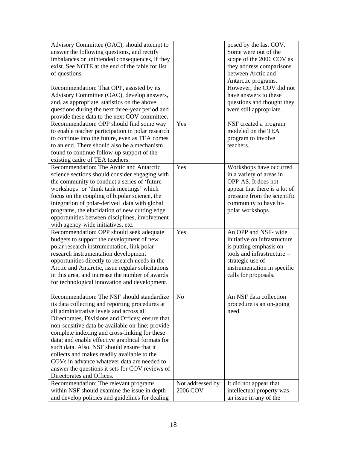| Advisory Committee (OAC), should attempt to       |                  | posed by the last COV.        |
|---------------------------------------------------|------------------|-------------------------------|
| answer the following questions, and rectify       |                  | Some were out of the          |
| imbalances or unintended consequences, if they    |                  | scope of the 2006 COV as      |
| exist. See NOTE at the end of the table for list  |                  | they address comparisons      |
| of questions.                                     |                  | between Arctic and            |
|                                                   |                  | Antarctic programs.           |
| Recommendation: That OPP, assisted by its         |                  | However, the COV did not      |
| Advisory Committee (OAC), develop answers,        |                  | have answers to these         |
| and, as appropriate, statistics on the above      |                  | questions and thought they    |
| questions during the next three-year period and   |                  | were still appropriate.       |
| provide these data to the next COV committee.     |                  |                               |
| Recommendation: OPP should find some way          | Yes              |                               |
|                                                   |                  | NSF created a program         |
| to enable teacher participation in polar research |                  | modeled on the TEA            |
| to continue into the future, even as TEA comes    |                  | program to involve            |
| to an end. There should also be a mechanism       |                  | teachers.                     |
| found to continue follow-up support of the        |                  |                               |
| existing cadre of TEA teachers.                   |                  |                               |
| Recommendation: The Arctic and Antarctic          | Yes              | Workshops have occurred       |
| science sections should consider engaging with    |                  | in a variety of areas in      |
| the community to conduct a series of 'future      |                  | OPP-AS. It does not           |
| workshops' or 'think tank meetings' which         |                  | appear that there is a lot of |
| focus on the coupling of bipolar science, the     |                  | pressure from the scientific  |
| integration of polar-derived data with global     |                  | community to have bi-         |
| programs, the elucidation of new cutting edge     |                  | polar workshops               |
| opportunities between disciplines, involvement    |                  |                               |
| with agency-wide initiatives, etc.                |                  |                               |
| Recommendation: OPP should seek adequate          | Yes              | An OPP and NSF- wide          |
| budgets to support the development of new         |                  | initiative on infrastructure  |
| polar research instrumentation, link polar        |                  | is putting emphasis on        |
| research instrumentation development              |                  | tools and infrastructure -    |
| opportunities directly to research needs in the   |                  | strategic use of              |
| Arctic and Antarctic, issue regular solicitations |                  | instrumentation in specific   |
| in this area, and increase the number of awards   |                  | calls for proposals.          |
| for technological innovation and development.     |                  |                               |
|                                                   |                  |                               |
| Recommendation: The NSF should standardize        | N <sub>0</sub>   | An NSF data collection        |
| its data collecting and reporting procedures at   |                  | procedure is an on-going      |
| all administrative levels and across all          |                  | need.                         |
| Directorates, Divisions and Offices; ensure that  |                  |                               |
| non-sensitive data be available on-line; provide  |                  |                               |
| complete indexing and cross-linking for these     |                  |                               |
| data; and enable effective graphical formats for  |                  |                               |
| such data. Also, NSF should ensure that it        |                  |                               |
| collects and makes readily available to the       |                  |                               |
| COVs in advance whatever data are needed to       |                  |                               |
| answer the questions it sets for COV reviews of   |                  |                               |
| Directorates and Offices.                         |                  |                               |
|                                                   |                  |                               |
| Recommendation: The relevant programs             | Not addressed by | It did not appear that        |
| within NSF should examine the issue in depth      | 2006 COV         | intellectual property was     |
| and develop policies and guidelines for dealing   |                  | an issue in any of the        |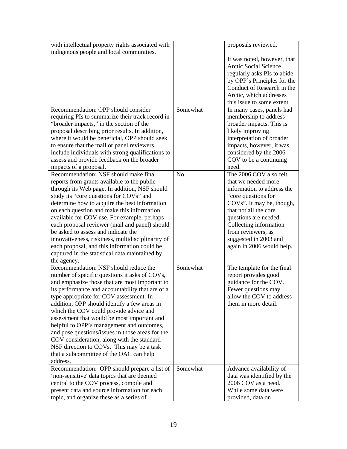| with intellectual property rights associated with                                                                                                                                                                                                                                                                                                                                                                                                                                                                                                                                                                                   |                | proposals reviewed.                                                                                                                                                                                                                                           |
|-------------------------------------------------------------------------------------------------------------------------------------------------------------------------------------------------------------------------------------------------------------------------------------------------------------------------------------------------------------------------------------------------------------------------------------------------------------------------------------------------------------------------------------------------------------------------------------------------------------------------------------|----------------|---------------------------------------------------------------------------------------------------------------------------------------------------------------------------------------------------------------------------------------------------------------|
| indigenous people and local communities.                                                                                                                                                                                                                                                                                                                                                                                                                                                                                                                                                                                            |                |                                                                                                                                                                                                                                                               |
|                                                                                                                                                                                                                                                                                                                                                                                                                                                                                                                                                                                                                                     |                | It was noted, however, that<br><b>Arctic Social Science</b><br>regularly asks PIs to abide<br>by OPP's Principles for the<br>Conduct of Research in the<br>Arctic, which addresses<br>this issue to some extent.                                              |
| Recommendation: OPP should consider                                                                                                                                                                                                                                                                                                                                                                                                                                                                                                                                                                                                 | Somewhat       |                                                                                                                                                                                                                                                               |
| requiring PIs to summarize their track record in<br>"broader impacts," in the section of the<br>proposal describing prior results. In addition,<br>where it would be beneficial, OPP should seek<br>to ensure that the mail or panel reviewers<br>include individuals with strong qualifications to<br>assess and provide feedback on the broader<br>impacts of a proposal.                                                                                                                                                                                                                                                         |                | In many cases, panels had<br>membership to address<br>broader impacts. This is<br>likely improving<br>interpretation of broader<br>impacts, however, it was<br>considered by the 2006<br>COV to be a continuing<br>need.                                      |
| Recommendation: NSF should make final                                                                                                                                                                                                                                                                                                                                                                                                                                                                                                                                                                                               | N <sub>o</sub> | The 2006 COV also felt                                                                                                                                                                                                                                        |
| reports from grants available to the public<br>through its Web page. In addition, NSF should<br>study its "core questions for COVs" and<br>determine how to acquire the best information<br>on each question and make this information<br>available for COV use. For example, perhaps<br>each proposal reviewer (mail and panel) should<br>be asked to assess and indicate the<br>innovativeness, riskiness, multidisciplinarity of<br>each proposal, and this information could be<br>captured in the statistical data maintained by<br>the agency.                                                                                |                | that we needed more<br>information to address the<br>"core questions for<br>COVs". It may be, though,<br>that not all the core<br>questions are needed.<br>Collecting information<br>from reviewers, as<br>suggested in 2003 and<br>again in 2006 would help. |
| Recommendation: NSF should reduce the<br>number of specific questions it asks of COVs,<br>and emphasize those that are most important to<br>its performance and accountability that are of a<br>type appropriate for COV assessment. In<br>addition, OPP should identify a few areas in<br>which the COV could provide advice and<br>assessment that would be most important and<br>helpful to OPP's management and outcomes,<br>and pose questions/issues in those areas for the<br>COV consideration, along with the standard<br>NSF direction to COVs. This may be a task<br>that a subcommittee of the OAC can help<br>address. | Somewhat       | The template for the final<br>report provides good<br>guidance for the COV.<br>Fewer questions may<br>allow the COV to address<br>them in more detail.                                                                                                        |
| Recommendation: OPP should prepare a list of                                                                                                                                                                                                                                                                                                                                                                                                                                                                                                                                                                                        | Somewhat       | Advance availability of                                                                                                                                                                                                                                       |
| 'non-sensitive' data topics that are deemed                                                                                                                                                                                                                                                                                                                                                                                                                                                                                                                                                                                         |                | data was identified by the                                                                                                                                                                                                                                    |
| central to the COV process, compile and                                                                                                                                                                                                                                                                                                                                                                                                                                                                                                                                                                                             |                | 2006 COV as a need.                                                                                                                                                                                                                                           |
| present data and source information for each                                                                                                                                                                                                                                                                                                                                                                                                                                                                                                                                                                                        |                | While some data were                                                                                                                                                                                                                                          |
| topic, and organize these as a series of                                                                                                                                                                                                                                                                                                                                                                                                                                                                                                                                                                                            |                | provided, data on                                                                                                                                                                                                                                             |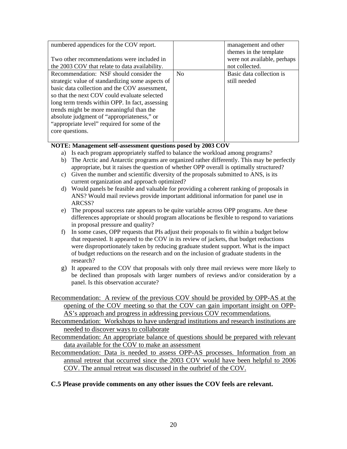| numbered appendices for the COV report.<br>Two other recommendations were included in<br>the 2003 COV that relate to data availability.                                                                                                                                                                                                                                                                      |                | management and other<br>themes in the template<br>were not available, perhaps<br>not collected. |
|--------------------------------------------------------------------------------------------------------------------------------------------------------------------------------------------------------------------------------------------------------------------------------------------------------------------------------------------------------------------------------------------------------------|----------------|-------------------------------------------------------------------------------------------------|
| Recommendation: NSF should consider the<br>strategic value of standardizing some aspects of<br>basic data collection and the COV assessment,<br>so that the next COV could evaluate selected<br>long term trends within OPP. In fact, assessing<br>trends might be more meaningful than the<br>absolute judgment of "appropriateness," or<br>"appropriate level" required for some of the<br>core questions. | N <sub>0</sub> | Basic data collection is<br>still needed                                                        |

#### **NOTE: Management self-assessment questions posed by 2003 COV**

- a) Is each program appropriately staffed to balance the workload among programs?
- b) The Arctic and Antarctic programs are organized rather differently. This may be perfectly appropriate, but it raises the question of whether OPP overall is optimally structured?
- c) Given the number and scientific diversity of the proposals submitted to ANS, is its current organization and approach optimized?
- d) Would panels be feasible and valuable for providing a coherent ranking of proposals in ANS? Would mail reviews provide important additional information for panel use in ARCSS?
- e) The proposal success rate appears to be quite variable across OPP programs. Are these differences appropriate or should program allocations be flexible to respond to variations in proposal pressure and quality?
- f) In some cases, OPP requests that PIs adjust their proposals to fit within a budget below that requested. It appeared to the COV in its review of jackets, that budget reductions were disproportionately taken by reducing graduate student support. What is the impact of budget reductions on the research and on the inclusion of graduate students in the research?
- g) It appeared to the COV that proposals with only three mail reviews were more likely to be declined than proposals with larger numbers of reviews and/or consideration by a panel. Is this observation accurate?
- Recommendation: A review of the previous COV should be provided by OPP-AS at the opening of the COV meeting so that the COV can gain important insight on OPP-AS's approach and progress in addressing previous COV recommendations.
- Recommendation: Workshops to have undergrad institutions and research institutions are needed to discover ways to collaborate
- Recommendation: An appropriate balance of questions should be prepared with relevant data available for the COV to make an assessment
- Recommendation: Data is needed to assess OPP-AS processes. Information from an annual retreat that occurred since the 2003 COV would have been helpful to 2006 COV. The annual retreat was discussed in the outbrief of the COV.

#### **C.5 Please provide comments on any other issues the COV feels are relevant.**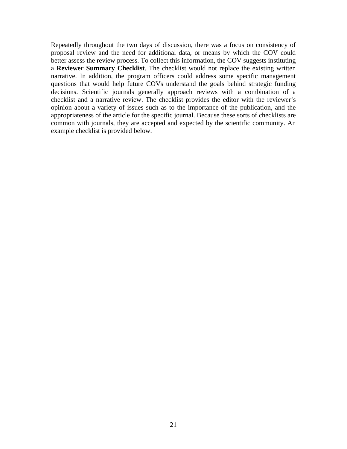Repeatedly throughout the two days of discussion, there was a focus on consistency of proposal review and the need for additional data, or means by which the COV could better assess the review process. To collect this information, the COV suggests instituting a **Reviewer Summary Checklist**. The checklist would not replace the existing written narrative. In addition, the program officers could address some specific management questions that would help future COVs understand the goals behind strategic funding decisions. Scientific journals generally approach reviews with a combination of a checklist and a narrative review. The checklist provides the editor with the reviewer's opinion about a variety of issues such as to the importance of the publication, and the appropriateness of the article for the specific journal. Because these sorts of checklists are common with journals, they are accepted and expected by the scientific community. An example checklist is provided below.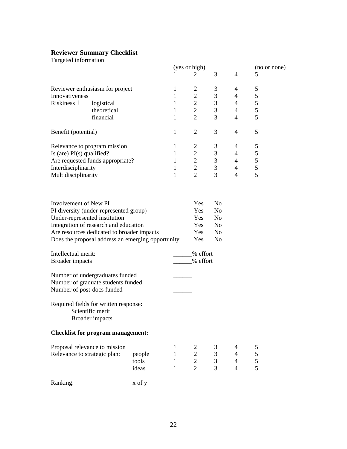#### <span id="page-21-0"></span>**Reviewer Summary Checklist**

Targeted information

| rargeted information                                                    |                                            |        |              | (yes or high)  |                |                |                   |  |
|-------------------------------------------------------------------------|--------------------------------------------|--------|--------------|----------------|----------------|----------------|-------------------|--|
|                                                                         |                                            |        | 1            | 2              | 3              | $\overline{4}$ | (no or none)<br>5 |  |
|                                                                         |                                            |        |              |                |                |                |                   |  |
| Reviewer enthusiasm for project                                         |                                            |        | 1            | $\overline{2}$ | 3              | 4              | 5                 |  |
| Innovativeness                                                          |                                            |        | 1            | $\overline{2}$ | 3              | 4              | 5                 |  |
| Riskiness 1                                                             | logistical                                 |        | $\mathbf{1}$ | $\overline{2}$ | 3              | 4              | $\mathfrak s$     |  |
|                                                                         | theoretical                                |        | $\mathbf{1}$ | $\overline{2}$ | 3              | $\overline{4}$ | 5                 |  |
|                                                                         | financial                                  |        | 1            | $\overline{2}$ | 3              | $\overline{4}$ | 5                 |  |
|                                                                         |                                            |        |              |                |                |                |                   |  |
| Benefit (potential)                                                     |                                            |        | $\mathbf{1}$ | $\overline{2}$ | 3              | $\overline{4}$ | 5                 |  |
|                                                                         |                                            |        |              |                |                |                |                   |  |
| Relevance to program mission                                            |                                            |        | 1            | $\overline{2}$ | 3              | 4              | 5                 |  |
| Is (are) $PI(s)$ qualified?                                             |                                            |        | 1            | $\overline{2}$ | $\mathfrak{Z}$ | 4              | $\mathfrak s$     |  |
| Are requested funds appropriate?                                        |                                            |        | 1            | $\overline{2}$ | $\mathfrak{Z}$ | $\overline{4}$ | $\mathfrak s$     |  |
| Interdisciplinarity                                                     |                                            |        | 1            | $\overline{2}$ | 3              | $\overline{4}$ | $\mathfrak s$     |  |
| Multidisciplinarity                                                     |                                            |        | 1            | $\overline{2}$ | 3              | $\overline{4}$ | 5                 |  |
|                                                                         |                                            |        |              |                |                |                |                   |  |
| Involvement of New PI                                                   |                                            |        |              | Yes            | No             |                |                   |  |
|                                                                         |                                            |        |              | Yes            | N <sub>0</sub> |                |                   |  |
| PI diversity (under-represented group)<br>Under-represented institution |                                            |        |              | Yes            | N <sub>o</sub> |                |                   |  |
| Integration of research and education                                   |                                            |        |              | Yes            | N <sub>0</sub> |                |                   |  |
| Are resources dedicated to broader impacts                              |                                            |        |              | Yes            | N <sub>o</sub> |                |                   |  |
| Does the proposal address an emerging opportunity                       |                                            |        |              | Yes            | N <sub>o</sub> |                |                   |  |
|                                                                         |                                            |        |              |                |                |                |                   |  |
| Intellectual merit:                                                     |                                            |        |              | % effort       |                |                |                   |  |
| <b>Broader</b> impacts                                                  |                                            |        |              | __% effort     |                |                |                   |  |
|                                                                         |                                            |        |              |                |                |                |                   |  |
| Number of undergraduates funded                                         |                                            |        |              |                |                |                |                   |  |
| Number of graduate students funded                                      |                                            |        |              |                |                |                |                   |  |
| Number of post-docs funded                                              |                                            |        |              |                |                |                |                   |  |
|                                                                         |                                            |        |              |                |                |                |                   |  |
| Required fields for written response:                                   | Scientific merit<br><b>Broader</b> impacts |        |              |                |                |                |                   |  |
| <b>Checklist for program management:</b>                                |                                            |        |              |                |                |                |                   |  |
| Proposal relevance to mission                                           |                                            |        | 1            | 2              | 3              | 4              | 5                 |  |
| Relevance to strategic plan:                                            |                                            | people | $\mathbf{1}$ | $\mathbf{2}$   | 3              | $\overline{4}$ | 5                 |  |
|                                                                         |                                            | tools  | $\mathbf{1}$ | $\overline{c}$ | 3              | $\overline{4}$ | 5                 |  |
|                                                                         |                                            | ideas  | $\mathbf{1}$ | $\overline{2}$ | 3              | $\overline{4}$ | 5                 |  |
|                                                                         |                                            |        |              |                |                |                |                   |  |
| Ranking:                                                                |                                            | x of y |              |                |                |                |                   |  |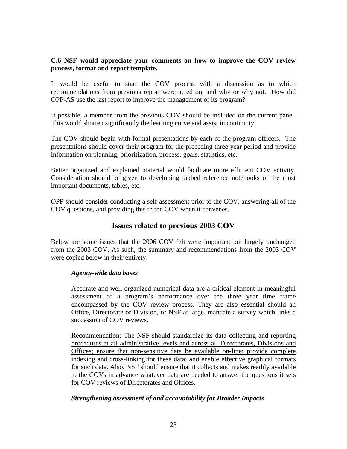### <span id="page-22-0"></span>**C.6 NSF would appreciate your comments on how to improve the COV review process, format and report template.**

It would be useful to start the COV process with a discussion as to which recommendations from previous report were acted on, and why or why not. How did OPP-AS use the last report to improve the management of its program?

If possible, a member from the previous COV should be included on the current panel. This would shorten significantly the learning curve and assist in continuity.

The COV should begin with formal presentations by each of the program officers. The presentations should cover their program for the preceding three year period and provide information on planning, prioritization, process, goals, statistics, etc.

Better organized and explained material would facilitate more efficient COV activity. Consideration should be given to developing tabbed reference notebooks of the most important documents, tables, etc.

OPP should consider conducting a self-assessment prior to the COV, answering all of the COV questions, and providing this to the COV when it convenes.

# **Issues related to previous 2003 COV**

Below are some issues that the 2006 COV felt were important but largely unchanged from the 2003 COV. As such, the summary and recommendations from the 2003 COV were copied below in their entirety.

#### *Agency-wide data bases*

Accurate and well-organized numerical data are a critical element in meaningful assessment of a program's performance over the three year time frame encompassed by the COV review process. They are also essential should an Office, Directorate or Division, or NSF at large, mandate a survey which links a succession of COV reviews.

Recommendation: The NSF should standardize its data collecting and reporting procedures at all administrative levels and across all Directorates, Divisions and Offices; ensure that non-sensitive data be available on-line; provide complete indexing and cross-linking for these data; and enable effective graphical formats for such data. Also, NSF should ensure that it collects and makes readily available to the COVs in advance whatever data are needed to answer the questions it sets for COV reviews of Directorates and Offices.

## *Strengthening assessment of and accountability for Broader Impacts*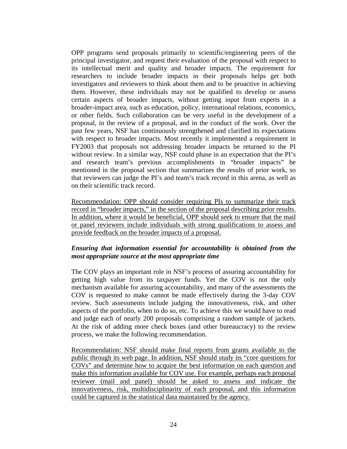OPP programs send proposals primarily to scientific/engineering peers of the principal investigator, and request their evaluation of the proposal with respect to its intellectual merit and quality and broader impacts. The requirement for researchers to include broader impacts in their proposals helps get both investigators and reviewers to think about them and to be proactive in achieving them. However, these individuals may not be qualified to develop or assess certain aspects of broader impacts, without getting input from experts in a broader-impact area, such as education, policy, international relations, economics, or other fields. Such collaboration can be very useful in the development of a proposal, in the review of a proposal, and in the conduct of the work. Over the past few years, NSF has continuously strengthened and clarified its expectations with respect to broader impacts. Most recently it implemented a requirement in FY2003 that proposals not addressing broader impacts be returned to the PI without review. In a similar way, NSF could phase in an expectation that the PI's and research team's previous accomplishments in "broader impacts" be mentioned in the proposal section that summarizes the results of prior work, so that reviewers can judge the PI's and team's track record in this arena, as well as on their scientific track record.

Recommendation: OPP should consider requiring PIs to summarize their track record in "broader impacts," in the section of the proposal describing prior results. In addition, where it would be beneficial, OPP should seek to ensure that the mail or panel reviewers include individuals with strong qualifications to assess and provide feedback on the broader impacts of a proposal.

## *Ensuring that information essential for accountability is obtained from the most appropriate source at the most appropriate time*

The COV plays an important role in NSF's process of assuring accountability for getting high value from its taxpayer funds. Yet the COV is not the only mechanism available for assuring accountability, and many of the assessments the COV is requested to make cannot be made effectively during the 3-day COV review. Such assessments include judging the innovativeness, risk, and other aspects of the portfolio, when to do so, etc. To achieve this we would have to read and judge each of nearly 200 proposals comprising a random sample of jackets. At the risk of adding more check boxes (and other bureaucracy) to the review process, we make the following recommendation.

Recommendation: NSF should make final reports from grants available to the public through its web page. In addition, NSF should study its "core questions for COVs" and determine how to acquire the best information on each question and make this information available for COV use. For example, perhaps each proposal reviewer (mail and panel) should be asked to assess and indicate the innovativeness, risk, multidisciplinarity of each proposal, and this information could be captured in the statistical data maintained by the agency.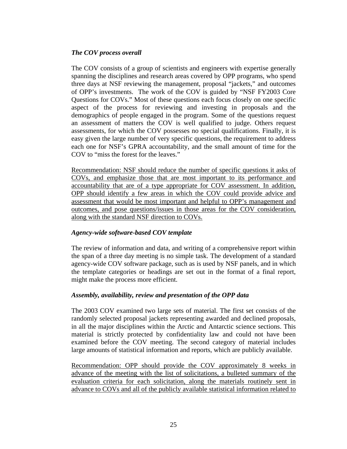### *The COV process overall*

The COV consists of a group of scientists and engineers with expertise generally spanning the disciplines and research areas covered by OPP programs, who spend three days at NSF reviewing the management, proposal "jackets," and outcomes of OPP's investments. The work of the COV is guided by "NSF FY2003 Core Questions for COVs." Most of these questions each focus closely on one specific aspect of the process for reviewing and investing in proposals and the demographics of people engaged in the program. Some of the questions request an assessment of matters the COV is well qualified to judge. Others request assessments, for which the COV possesses no special qualifications. Finally, it is easy given the large number of very specific questions, the requirement to address each one for NSF's GPRA accountability, and the small amount of time for the COV to "miss the forest for the leaves."

Recommendation: NSF should reduce the number of specific questions it asks of COVs, and emphasize those that are most important to its performance and accountability that are of a type appropriate for COV assessment. In addition, OPP should identify a few areas in which the COV could provide advice and assessment that would be most important and helpful to OPP's management and outcomes, and pose questions/issues in those areas for the COV consideration, along with the standard NSF direction to COVs.

## *Agency-wide software-based COV template*

The review of information and data, and writing of a comprehensive report within the span of a three day meeting is no simple task. The development of a standard agency-wide COV software package, such as is used by NSF panels, and in which the template categories or headings are set out in the format of a final report, might make the process more efficient.

#### *Assembly, availability, review and presentation of the OPP data*

The 2003 COV examined two large sets of material. The first set consists of the randomly selected proposal jackets representing awarded and declined proposals, in all the major disciplines within the Arctic and Antarctic science sections. This material is strictly protected by confidentiality law and could not have been examined before the COV meeting. The second category of material includes large amounts of statistical information and reports, which are publicly available.

Recommendation: OPP should provide the COV approximately 8 weeks in advance of the meeting with the list of solicitations, a bulleted summary of the evaluation criteria for each solicitation, along the materials routinely sent in advance to COVs and all of the publicly available statistical information related to